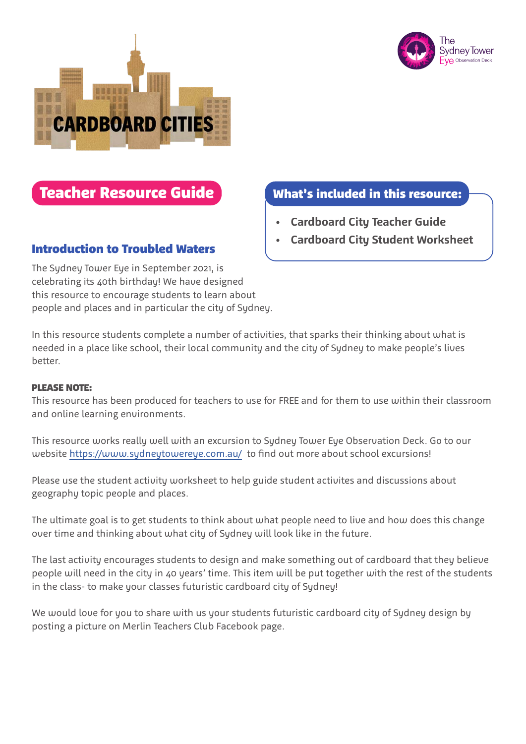



# Teacher Resource Guide What's included in this resource:

The Sydney Tower Eye in September 2021, is celebrating its 40th birthday! We have designed this resource to encourage students to learn about people and places and in particular the city of Sydney.

- **• Cardboard City Teacher Guide**
- **Introduction to Troubled Waters <b>From Access** and City Student Worksheet

In this resource students complete a number of activities, that sparks their thinking about what is needed in a place like school, their local community and the city of Sydney to make people's lives better.

#### PLEASE NOTE:

This resource has been produced for teachers to use for FREE and for them to use within their classroom and online learning environments.

This resource works really well with an excursion to Sydney Tower Eye Observation Deck. Go to our website https://www.sydneytowereye.com.au/ to find out more about school excursions!

Please use the student activity worksheet to help guide student activites and discussions about geography topic people and places.

The ultimate goal is to get students to think about what people need to live and how does this change over time and thinking about what city of Sydney will look like in the future.

The last activity encourages students to design and make something out of cardboard that they believe people will need in the city in 40 years' time. This item will be put together with the rest of the students in the class- to make your classes futuristic cardboard city of Sydney!

We would love for you to share with us your students futuristic cardboard city of Sydney design by posting a picture on Merlin Teachers Club Facebook page.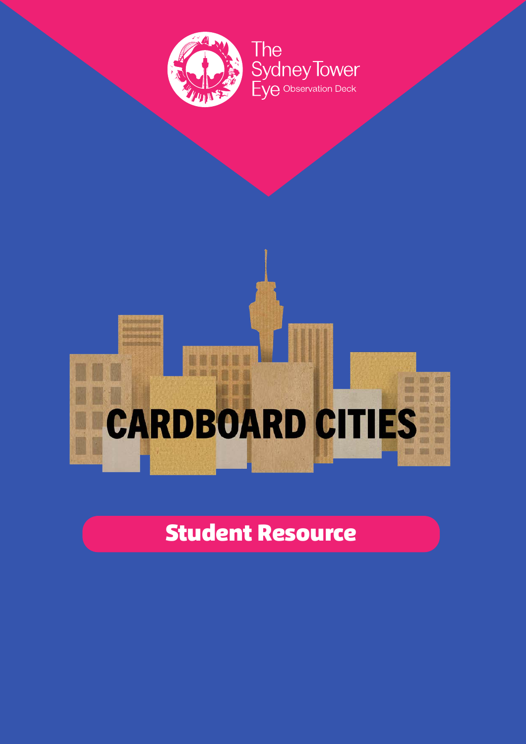

#### de son publice 雪雪雪 O ٦ **FOR THE 1988** ■ ■ 幅 **CARDBOARD CITII JANE ONE AVAIL** W UB ES 1200 **CONT 1200 500 1000**

# Student Resource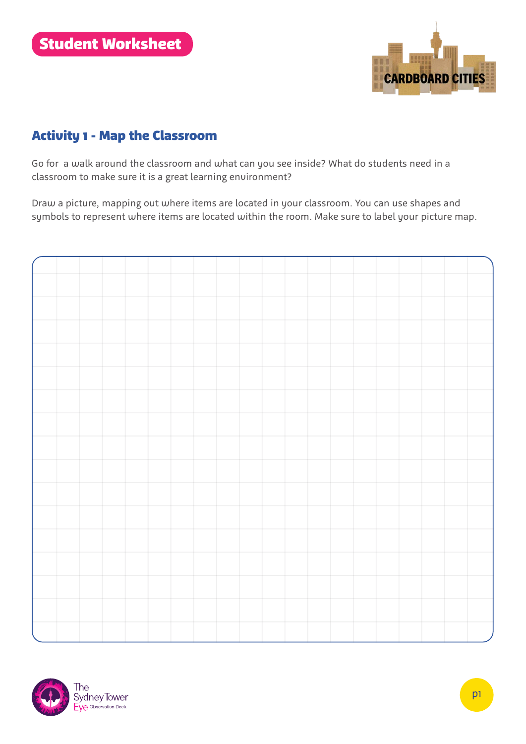

## Activity 1 - Map the Classroom

Go for a walk around the classroom and what can you see inside? What do students need in a classroom to make sure it is a great learning environment?

Draw a picture, mapping out where items are located in your classroom. You can use shapes and symbols to represent where items are located within the room. Make sure to label your picture map.

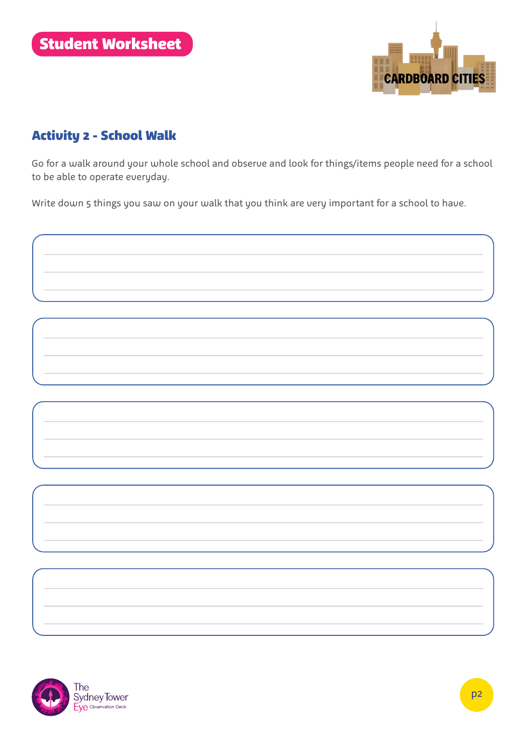

## Activity 2 - School Walk

Go for a walk around your whole school and observe and look for things/items people need for a school to be able to operate everyday.

Write down 5 things you saw on your walk that you think are very important for a school to have.



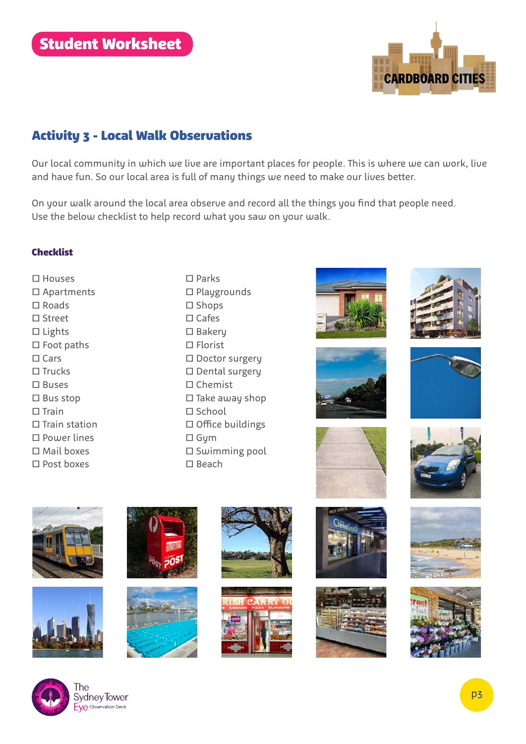

# Activity 3 - Local Walk Observations

Our local community in which we live are important places for people. This is where we can work, live and have fun. So our local area is full of many things we need to make our lives better.

On your walk around the local area observe and record all the things you find that people need. Use the below checklist to help record what you saw on your walk.

#### Checklist

- □ Houses □ Apartments □ Roads □ Street □ Lights □ Foot paths □ Cars □ Trucks □ Buses □ Bus stop □ Train □ Train station □ Power lines □ Mail boxes
- □ Parks □ Playgrounds □ Shops □ Cafes □ Bakery □ Florist □ Doctor surgery □ Dental surgery □ Chemist  $\square$  Take away shop □ School □ Office buildings □ Gym □ Swimming pool □ Beach













□ Post boxes



















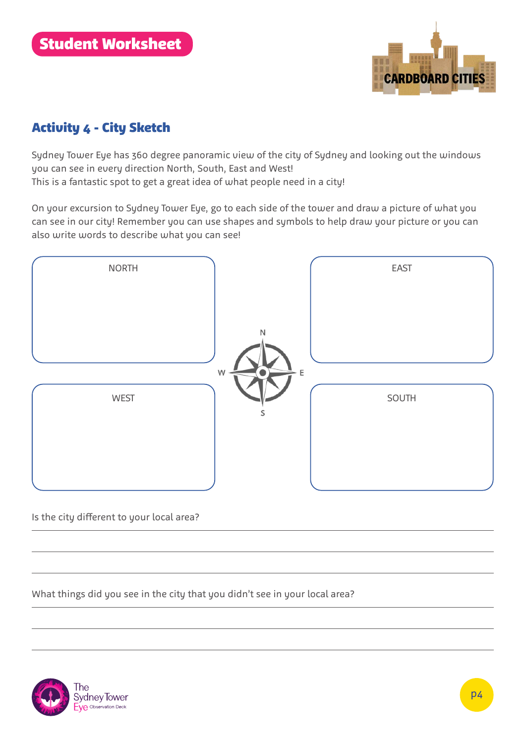

## Activity 4 - City Sketch

Sydney Tower Eye has 360 degree panoramic view of the city of Sydney and looking out the windows you can see in every direction North, South, East and West!

This is a fantastic spot to get a great idea of what people need in a city!

On your excursion to Sydney Tower Eye, go to each side of the tower and draw a picture of what you can see in our city! Remember you can use shapes and symbols to help draw your picture or you can also write words to describe what you can see!



#### Is the city different to your local area?

What things did you see in the city that you didn't see in your local area?